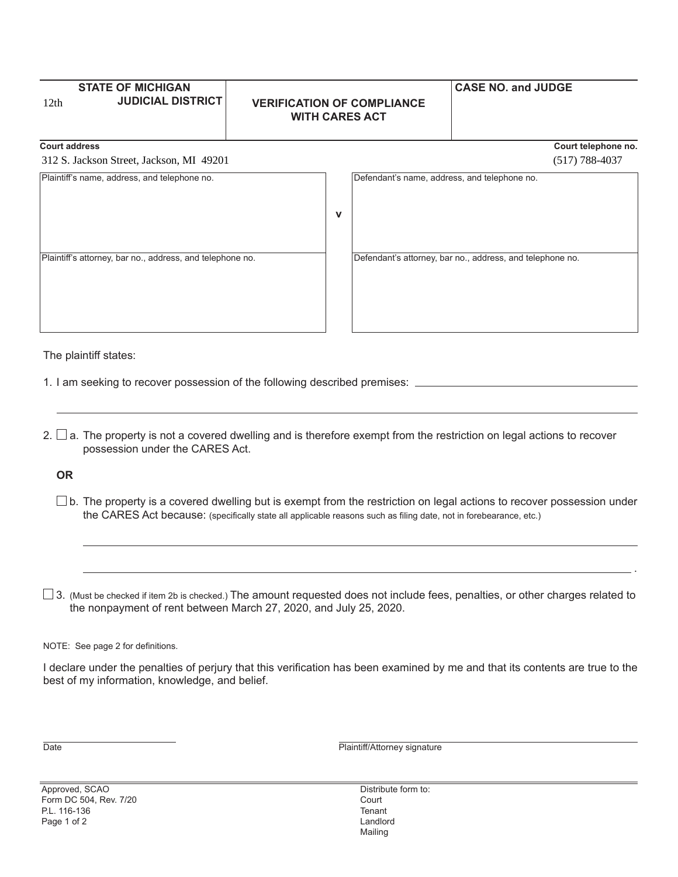| 12 <sub>th</sub>                             | <b>STATE OF MICHIGAN</b><br><b>JUDICIAL DISTRICT</b> | <b>VERIFICATION OF COMPLIANCE</b><br><b>WITH CARES ACT</b> |                                              | <b>CASE NO. and JUDGE</b> |                     |
|----------------------------------------------|------------------------------------------------------|------------------------------------------------------------|----------------------------------------------|---------------------------|---------------------|
| <b>Court address</b>                         |                                                      |                                                            |                                              |                           | Court telephone no. |
| 312 S. Jackson Street, Jackson, MI 49201     |                                                      |                                                            |                                              |                           | $(517)$ 788-4037    |
| Plaintiff's name, address, and telephone no. |                                                      |                                                            | Defendant's name, address, and telephone no. |                           |                     |

**v**

Plaintiff's attorney, bar no., address, and telephone no. Defendant's attorney, bar no., address, and telephone no.

The plaintiff states:

1. I am seeking to recover possession of the following described premises:

2.  $\Box$  a. The property is not a covered dwelling and is therefore exempt from the restriction on legal actions to recover possession under the CARES Act.

**OR**

 $\square$  b. The property is a covered dwelling but is exempt from the restriction on legal actions to recover possession under the CARES Act because: (specifically state all applicable reasons such as filing date, not in forebearance, etc.)

 $\square$  3. (Must be checked if item 2b is checked.) The amount requested does not include fees, penalties, or other charges related to the nonpayment of rent between March 27, 2020, and July 25, 2020.

.

NOTE: See page 2 for definitions.

I declare under the penalties of perjury that this verification has been examined by me and that its contents are true to the best of my information, knowledge, and belief.

Date **Date Plaintiff/Attorney signature** 

Approved, SCAO Form DC 504, Rev. 7/20 P.L. 116-136 Page 1 of 2

Distribute form to: **Court Tenant** Landlord Mailing